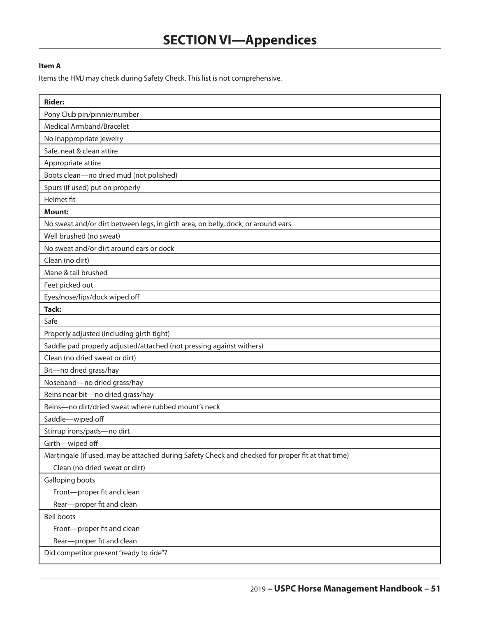## **Item A**

Items the HMJ may check during Safety Check. This list is not comprehensive.

| <b>Rider:</b>                                                                                     |
|---------------------------------------------------------------------------------------------------|
| Pony Club pin/pinnie/number                                                                       |
| Medical Armband/Bracelet                                                                          |
| No inappropriate jewelry                                                                          |
| Safe, neat & clean attire                                                                         |
| Appropriate attire                                                                                |
| Boots clean-no dried mud (not polished)                                                           |
| Spurs (if used) put on properly                                                                   |
| Helmet fit                                                                                        |
| <b>Mount:</b>                                                                                     |
| No sweat and/or dirt between legs, in girth area, on belly, dock, or around ears                  |
| Well brushed (no sweat)                                                                           |
| No sweat and/or dirt around ears or dock                                                          |
| Clean (no dirt)                                                                                   |
| Mane & tail brushed                                                                               |
| Feet picked out                                                                                   |
| Eyes/nose/lips/dock wiped off                                                                     |
| <b>Tack:</b>                                                                                      |
| Safe                                                                                              |
| Properly adjusted (including girth tight)                                                         |
| Saddle pad properly adjusted/attached (not pressing against withers)                              |
| Clean (no dried sweat or dirt)                                                                    |
| Bit-no dried grass/hay                                                                            |
| Noseband-no dried grass/hay                                                                       |
| Reins near bit-no dried grass/hay                                                                 |
| Reins-no dirt/dried sweat where rubbed mount's neck                                               |
| Saddle-wiped off                                                                                  |
| Stirrup irons/pads-no dirt                                                                        |
| Girth-wiped off                                                                                   |
| Martingale (if used, may be attached during Safety Check and checked for proper fit at that time) |
| Clean (no dried sweat or dirt)                                                                    |
| Galloping boots                                                                                   |
| Front-proper fit and clean                                                                        |
| Rear-proper fit and clean                                                                         |
| <b>Bell boots</b>                                                                                 |
| Front-proper fit and clean                                                                        |
| Rear-proper fit and clean                                                                         |
| Did competitor present "ready to ride"?                                                           |